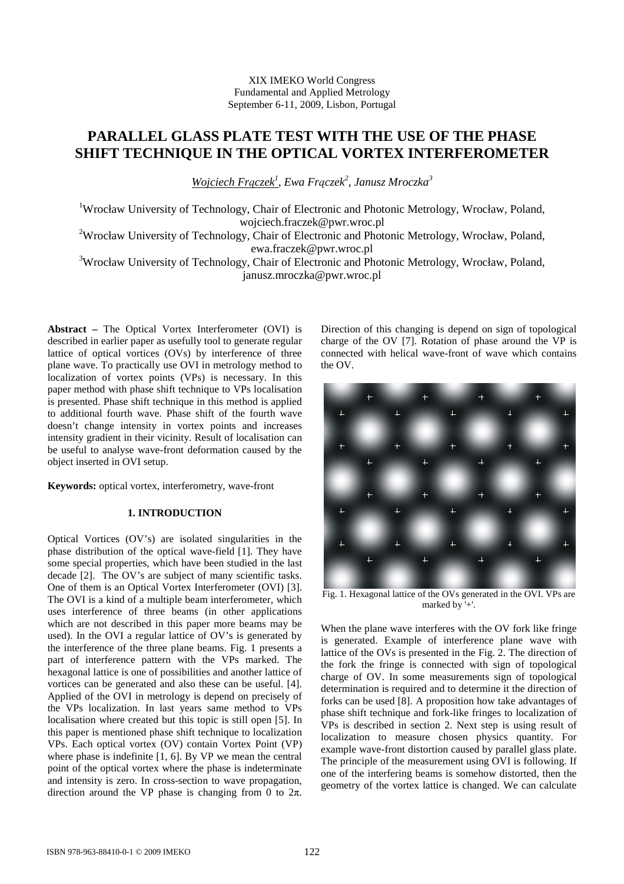# **PARALLEL GLASS PLATE TEST WITH THE USE OF THE PHASE SHIFT TECHNIQUE IN THE OPTICAL VORTEX INTERFEROMETER**

*Wojciech Frączek<sup>1</sup> , Ewa Frączek<sup>2</sup> , Janusz Mroczka<sup>3</sup>*

<sup>1</sup>Wrocław University of Technology, Chair of Electronic and Photonic Metrology, Wrocław, Poland, wojciech.fraczek@pwr.wroc.pl

<sup>2</sup>Wrocław University of Technology, Chair of Electronic and Photonic Metrology, Wrocław, Poland, ewa.fraczek@pwr.wroc.pl

<sup>3</sup>Wrocław University of Technology, Chair of Electronic and Photonic Metrology, Wrocław, Poland, janusz.mroczka@pwr.wroc.pl

**Abstract –** The Optical Vortex Interferometer (OVI) is described in earlier paper as usefully tool to generate regular lattice of optical vortices (OVs) by interference of three plane wave. To practically use OVI in metrology method to localization of vortex points (VPs) is necessary. In this paper method with phase shift technique to VPs localisation is presented. Phase shift technique in this method is applied to additional fourth wave. Phase shift of the fourth wave doesn't change intensity in vortex points and increases intensity gradient in their vicinity. Result of localisation can be useful to analyse wave-front deformation caused by the object inserted in OVI setup.

**Keywords:** optical vortex, interferometry, wave-front

## **1. INTRODUCTION**

Optical Vortices (OV's) are isolated singularities in the phase distribution of the optical wave-field [1]. They have some special properties, which have been studied in the last decade [2]. The OV's are subject of many scientific tasks. One of them is an Optical Vortex Interferometer (OVI) [3]. The OVI is a kind of a multiple beam interferometer, which uses interference of three beams (in other applications which are not described in this paper more beams may be used). In the OVI a regular lattice of OV's is generated by the interference of the three plane beams. Fig. 1 presents a part of interference pattern with the VPs marked. The hexagonal lattice is one of possibilities and another lattice of vortices can be generated and also these can be useful. [4]. Applied of the OVI in metrology is depend on precisely of the VPs localization. In last years same method to VPs localisation where created but this topic is still open [5]. In this paper is mentioned phase shift technique to localization VPs. Each optical vortex (OV) contain Vortex Point (VP) where phase is indefinite [1, 6]. By VP we mean the central point of the optical vortex where the phase is indeterminate and intensity is zero. In cross-section to wave propagation, direction around the VP phase is changing from 0 to  $2\pi$ . Direction of this changing is depend on sign of topological charge of the OV [7]. Rotation of phase around the VP is connected with helical wave-front of wave which contains the OV.



Fig. 1. Hexagonal lattice of the OVs generated in the OVI. VPs are marked by '+'.

When the plane wave interferes with the OV fork like fringe is generated. Example of interference plane wave with lattice of the OVs is presented in the Fig. 2. The direction of the fork the fringe is connected with sign of topological charge of OV. In some measurements sign of topological determination is required and to determine it the direction of forks can be used [8]. A proposition how take advantages of phase shift technique and fork-like fringes to localization of VPs is described in section 2. Next step is using result of localization to measure chosen physics quantity. For example wave-front distortion caused by parallel glass plate. The principle of the measurement using OVI is following. If one of the interfering beams is somehow distorted, then the geometry of the vortex lattice is changed. We can calculate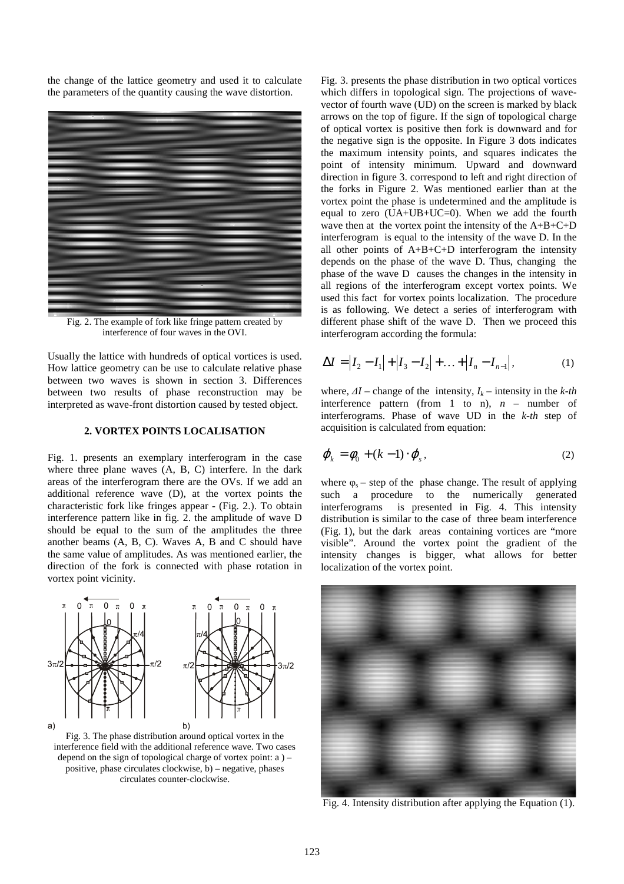the change of the lattice geometry and used it to calculate the parameters of the quantity causing the wave distortion.



Fig. 2. The example of fork like fringe pattern created by interference of four waves in the OVI.

Usually the lattice with hundreds of optical vortices is used. How lattice geometry can be use to calculate relative phase between two waves is shown in section 3. Differences between two results of phase reconstruction may be interpreted as wave-front distortion caused by tested object.

### **2. VORTEX POINTS LOCALISATION**

Fig. 1. presents an exemplary interferogram in the case where three plane waves (A, B, C) interfere. In the dark areas of the interferogram there are the OVs. If we add an additional reference wave (D), at the vortex points the characteristic fork like fringes appear - (Fig. 2.). To obtain interference pattern like in fig. 2. the amplitude of wave D should be equal to the sum of the amplitudes the three another beams (A, B, C). Waves A, B and C should have the same value of amplitudes. As was mentioned earlier, the direction of the fork is connected with phase rotation in vortex point vicinity.



Fig. 3. The phase distribution around optical vortex in the interference field with the additional reference wave. Two cases depend on the sign of topological charge of vortex point: a ) – positive, phase circulates clockwise, b) – negative, phases circulates counter-clockwise.

Fig. 3. presents the phase distribution in two optical vortices which differs in topological sign. The projections of wavevector of fourth wave (UD) on the screen is marked by black arrows on the top of figure. If the sign of topological charge of optical vortex is positive then fork is downward and for the negative sign is the opposite. In Figure 3 dots indicates the maximum intensity points, and squares indicates the point of intensity minimum. Upward and downward direction in figure 3. correspond to left and right direction of the forks in Figure 2. Was mentioned earlier than at the vortex point the phase is undetermined and the amplitude is equal to zero  $(UA+UB+UC=0)$ . When we add the fourth wave then at the vortex point the intensity of the  $A+B+C+D$ interferogram is equal to the intensity of the wave D. In the all other points of  $A+B+C+D$  interferogram the intensity depends on the phase of the wave D. Thus, changing the phase of the wave D causes the changes in the intensity in all regions of the interferogram except vortex points. We used this fact for vortex points localization. The procedure is as following. We detect a series of interferogram with different phase shift of the wave D. Then we proceed this interferogram according the formula:

$$
\Delta I = |I_2 - I_1| + |I_3 - I_2| + \dots + |I_n - I_{n-1}|,\tag{1}
$$

where,  $\Delta I$  – change of the intensity,  $I_k$  – intensity in the *k*-th interference pattern (from 1 to n),  $n$  – number of interferograms. Phase of wave UD in the *k-th* step of acquisition is calculated from equation:

$$
\varphi_k = \phi_0 + (k-1) \cdot \varphi_s, \qquad (2)
$$

where  $\varphi_s$  – step of the phase change. The result of applying such a procedure to the numerically generated interferograms is presented in Fig. 4. This intensity distribution is similar to the case of three beam interference (Fig. 1), but the dark areas containing vortices are "more visible". Around the vortex point the gradient of the intensity changes is bigger, what allows for better localization of the vortex point.



Fig. 4. Intensity distribution after applying the Equation (1).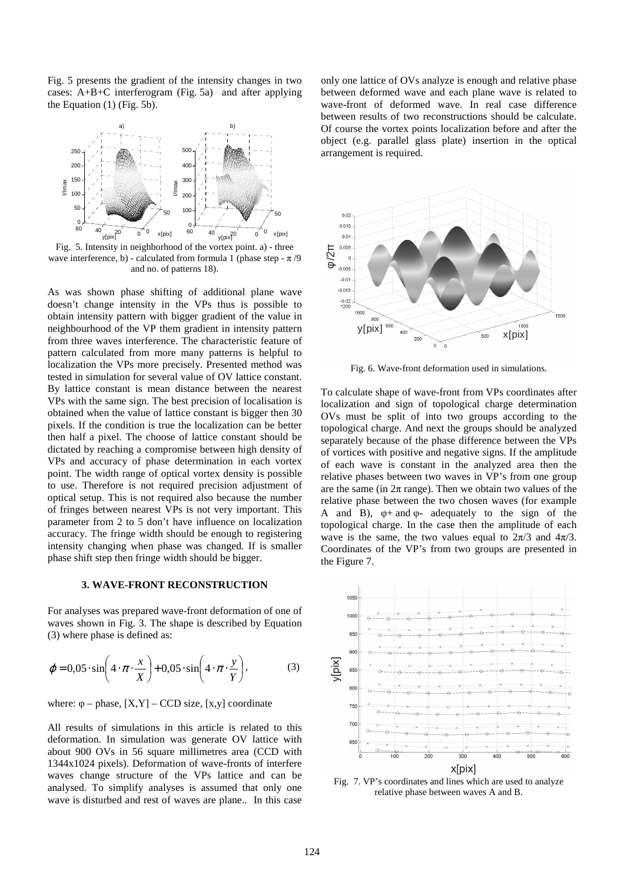Fig. 5 presents the gradient of the intensity changes in two cases: A+B+C interferogram (Fig. 5a) and after applying the Equation (1) (Fig. 5b).



Fig. 5. Intensity in neighborhood of the vortex point. a) - three wave interference, b) - calculated from formula 1 (phase step -  $\pi$  /9 and no. of patterns 18).

As was shown phase shifting of additional plane wave doesn't change intensity in the VPs thus is possible to obtain intensity pattern with bigger gradient of the value in neighbourhood of the VP them gradient in intensity pattern from three waves interference. The characteristic feature of pattern calculated from more many patterns is helpful to localization the VPs more precisely. Presented method was tested in simulation for several value of OV lattice constant. By lattice constant is mean distance between the nearest VPs with the same sign. The best precision of localisation is obtained when the value of lattice constant is bigger then 30 pixels. If the condition is true the localization can be better then half a pixel. The choose of lattice constant should be dictated by reaching a compromise between high density of VPs and accuracy of phase determination in each vortex point. The width range of optical vortex density is possible to use. Therefore is not required precision adjustment of optical setup. This is not required also because the number of fringes between nearest VPs is not very important. This parameter from 2 to 5 don't have influence on localization accuracy. The fringe width should be enough to registering intensity changing when phase was changed. If is smaller phase shift step then fringe width should be bigger.

## **3. WAVE-FRONT RECONSTRUCTION**

For analyses was prepared wave-front deformation of one of waves shown in Fig. 3. The shape is described by Equation (3) where phase is defined as:

$$
\varphi = 0.05 \cdot \sin\left(4 \cdot \pi \cdot \frac{x}{X}\right) + 0.05 \cdot \sin\left(4 \cdot \pi \cdot \frac{y}{Y}\right),\tag{3}
$$

where:  $\varphi$  – phase,  $[X, Y]$  – CCD size,  $[x, y]$  coordinate

All results of simulations in this article is related to this deformation. In simulation was generate OV lattice with about 900 OVs in 56 square millimetres area (CCD with 1344x1024 pixels). Deformation of wave-fronts of interfere waves change structure of the VPs lattice and can be analysed. To simplify analyses is assumed that only one wave is disturbed and rest of waves are plane.. In this case

only one lattice of OVs analyze is enough and relative phase between deformed wave and each plane wave is related to wave-front of deformed wave. In real case difference between results of two reconstructions should be calculate. Of course the vortex points localization before and after the object (e.g. parallel glass plate) insertion in the optical arrangement is required.



Fig. 6. Wave-front deformation used in simulations.

To calculate shape of wave-front from VPs coordinates after localization and sign of topological charge determination OVs must be split of into two groups according to the topological charge. And next the groups should be analyzed separately because of the phase difference between the VPs of vortices with positive and negative signs. If the amplitude of each wave is constant in the analyzed area then the relative phases between two waves in VP's from one group are the same (in  $2\pi$  range). Then we obtain two values of the relative phase between the two chosen waves (for example A and B),  $\varphi$ + and  $\varphi$ - adequately to the sign of the topological charge. In the case then the amplitude of each wave is the same, the two values equal to  $2\pi/3$  and  $4\pi/3$ . Coordinates of the VP's from two groups are presented in the Figure 7.



Fig. 7. VP's coordinates and lines which are used to analyze relative phase between waves A and B.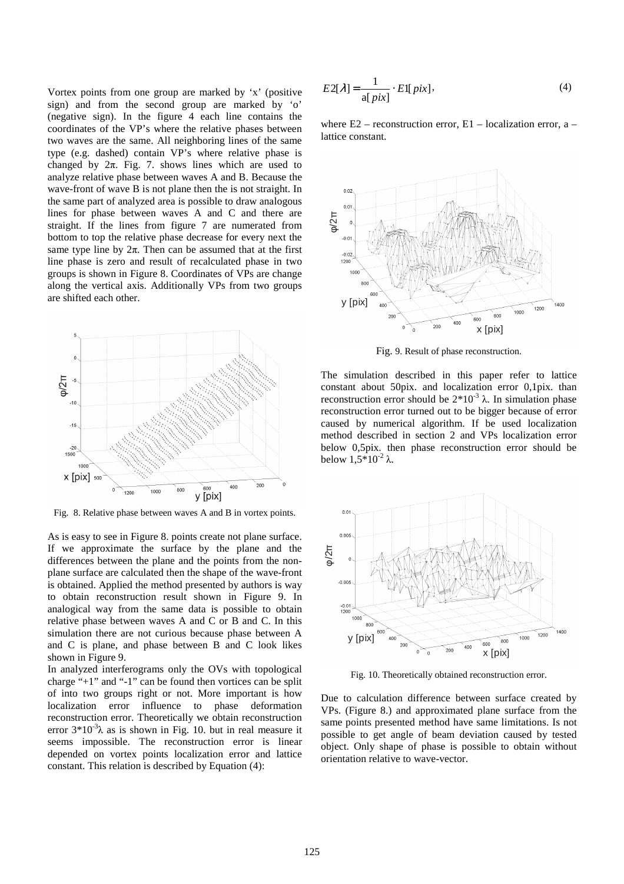Vortex points from one group are marked by 'x' (positive sign) and from the second group are marked by 'o' (negative sign). In the figure 4 each line contains the coordinates of the VP's where the relative phases between two waves are the same. All neighboring lines of the same type (e.g. dashed) contain VP's where relative phase is changed by  $2\pi$ . Fig. 7. shows lines which are used to analyze relative phase between waves A and B. Because the wave-front of wave B is not plane then the is not straight. In the same part of analyzed area is possible to draw analogous lines for phase between waves A and C and there are straight. If the lines from figure 7 are numerated from bottom to top the relative phase decrease for every next the same type line by  $2\pi$ . Then can be assumed that at the first line phase is zero and result of recalculated phase in two groups is shown in Figure 8. Coordinates of VPs are change along the vertical axis. Additionally VPs from two groups are shifted each other.



Fig. 8. Relative phase between waves A and B in vortex points.

As is easy to see in Figure 8. points create not plane surface. If we approximate the surface by the plane and the differences between the plane and the points from the nonplane surface are calculated then the shape of the wave-front is obtained. Applied the method presented by authors is way to obtain reconstruction result shown in Figure 9. In analogical way from the same data is possible to obtain relative phase between waves A and C or B and C. In this simulation there are not curious because phase between A and C is plane, and phase between B and C look likes shown in Figure 9.

In analyzed interferograms only the OVs with topological charge "+1" and "-1" can be found then vortices can be split of into two groups right or not. More important is how localization error influence to phase deformation reconstruction error. Theoretically we obtain reconstruction error  $3*10^{-3}\lambda$  as is shown in Fig. 10. but in real measure it seems impossible. The reconstruction error is linear depended on vortex points localization error and lattice constant. This relation is described by Equation (4):

$$
E2[\lambda] = \frac{1}{\text{a}[pix]} \cdot E1[pix],\tag{4}
$$

where  $E2$  – reconstruction error,  $E1$  – localization error, a – lattice constant.



Fig. 9. Result of phase reconstruction.

The simulation described in this paper refer to lattice constant about 50pix. and localization error 0,1pix. than reconstruction error should be  $2*10<sup>-3</sup>$  λ. In simulation phase reconstruction error turned out to be bigger because of error caused by numerical algorithm. If be used localization method described in section 2 and VPs localization error below 0,5pix. then phase reconstruction error should be below  $1,5*10^{-2}$  λ.



Fig. 10. Theoretically obtained reconstruction error.

Due to calculation difference between surface created by VPs. (Figure 8.) and approximated plane surface from the same points presented method have same limitations. Is not possible to get angle of beam deviation caused by tested object. Only shape of phase is possible to obtain without orientation relative to wave-vector.